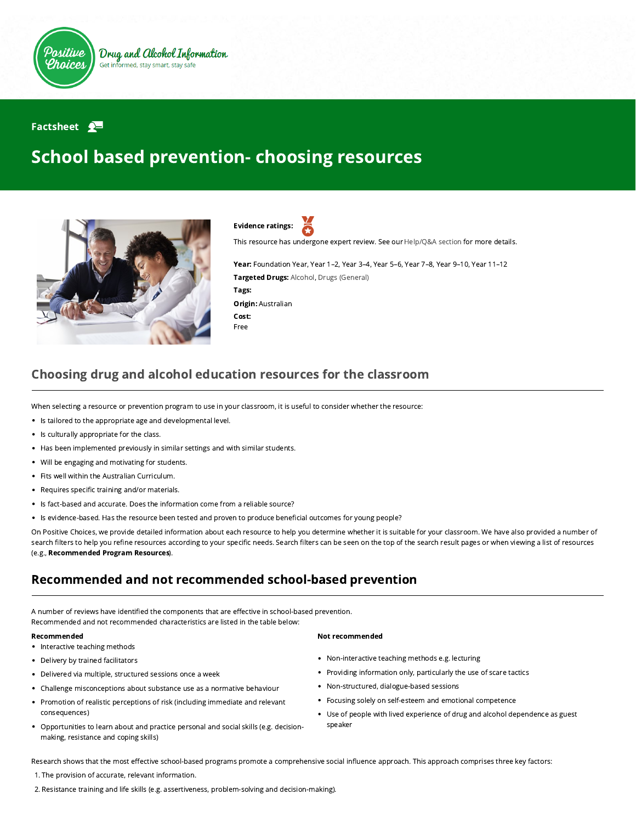

### Factsheet  $\mathbf{P}$

# School based prevention- choosing resources



Evidence ratings:

This resource has undergone expert review. See our [Help/Q&A section](https://positivechoices.org.au/help/questions-and-answers/) for more details.

Year: Foundation Year, Year 1–2, Year 3–4, Year 5–6, Year 7–8, Year 9–10, Year 11–12 Targeted Drugs: Alcohol, Drugs (General) Tags: Origin: Australian Cost: Free

## Choosing drug and alcohol education resources for the classroom

When selecting a resource or prevention program to use in your classroom, it is useful to consider whether the resource:

- Is tailored to the appropriate age and developmental level.
- Is culturally appropriate for the class.
- Has been implemented previously in similar settings and with similar students.
- Will be engaging and motivating for students.  $\bullet$
- Fits well within the Australian Curriculum.
- $\bullet$ Requires specific training and/or materials.
- Is fact-based and accurate. Does the information come from a reliable source?
- Is evidence-based. Has the resource been tested and proven to produce beneficial outcomes for young people?

On Positive Choices, we provide detailed information about each resource to help you determine whether it is suitable for your classroom. We have also provided a number of search filters to help you refine resources according to your specific needs. Search filters can be seen on the top of the search result pages or when viewing a list of resources (e.g., [Recommended Program Resources](https://positivechoices.org.au/resources/recommended-programs/)).

## Recommended and not recommended school-based prevention

A number of reviews have identified the components that are effective in school-based prevention. Recommended and not recommended characteristics are listed in the table below:

- Interactive teaching methods
- Delivery by trained facilitators
- Delivered via multiple, structured sessions once a week
- Challenge misconceptions about substance use as a normative behaviour
- Promotion of realistic perceptions of risk (including immediate and relevant consequences)
- Opportunities to learn about and practice personal and social skills (e.g. decisionmaking, resistance and coping skills)

### Recommended **Not recommended** Not recommended

- Non-interactive teaching methods e.g. lecturing
- Providing information only, particularly the use of scare tactics
- Non-structured, dialogue-based sessions  $\bullet$
- Focusing solely on self-esteem and emotional competence
- Use of people with lived experience of drug and alcohol dependence as guest  $\bullet$ speaker

Research shows that the most effective school-based programs promote a comprehensive social influence approach. This approach comprises three key factors:

- 1. The provision of accurate, relevant information.
- 2. Resistance training and life skills (e.g. assertiveness, problem-solving and decision-making).